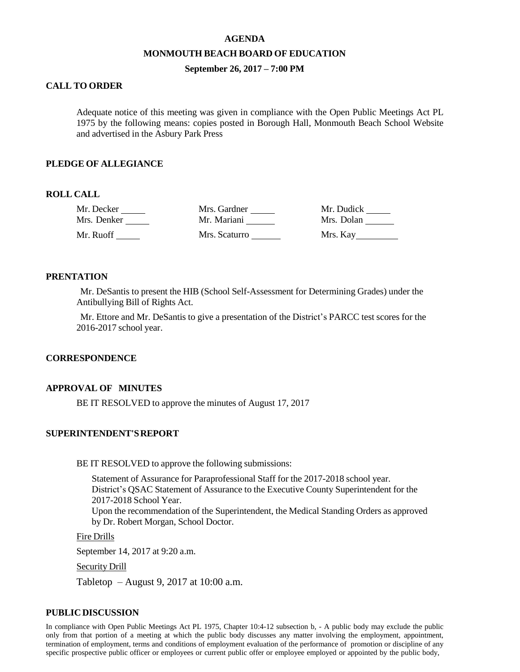#### **AGENDA**

#### **MONMOUTH BEACH BOARD OF EDUCATION**

### **September 26, 2017 – 7:00 PM**

# **CALL TO ORDER**

Adequate notice of this meeting was given in compliance with the Open Public Meetings Act PL 1975 by the following means: copies posted in Borough Hall, Monmouth Beach School Website and advertised in the Asbury Park Press

### **PLEDGE OF ALLEGIANCE**

### **ROLL CALL**

| Mr. Decker  | Mrs. Gardner  | Mr. Dudick |
|-------------|---------------|------------|
| Mrs. Denker | Mr. Mariani   | Mrs. Dolan |
| Mr. Ruoff   | Mrs. Scaturro | Mrs. Kay   |

## **PRENTATION**

Mr. DeSantis to present the HIB (School Self-Assessment for Determining Grades) under the Antibullying Bill of Rights Act.

Mr. Ettore and Mr. DeSantis to give a presentation of the District's PARCC test scores for the 2016-2017 school year.

#### **CORRESPONDENCE**

### **APPROVAL OF MINUTES**

BE IT RESOLVED to approve the minutes of August 17, 2017

## **SUPERINTENDENT'SREPORT**

BE IT RESOLVED to approve the following submissions:

Statement of Assurance for Paraprofessional Staff for the 2017-2018 school year. District's QSAC Statement of Assurance to the Executive County Superintendent for the 2017-2018 School Year. Upon the recommendation of the Superintendent, the Medical Standing Orders as approved by Dr. Robert Morgan, School Doctor.

Fire Drills

September 14, 2017 at 9:20 a.m.

Security Drill

Tabletop – August 9, 2017 at 10:00 a.m.

### **PUBLICDISCUSSION**

In compliance with Open Public Meetings Act PL 1975, Chapter 10:4-12 subsection b, - A public body may exclude the public only from that portion of a meeting at which the public body discusses any matter involving the employment, appointment, termination of employment, terms and conditions of employment evaluation of the performance of promotion or discipline of any specific prospective public officer or employees or current public offer or employee employed or appointed by the public body,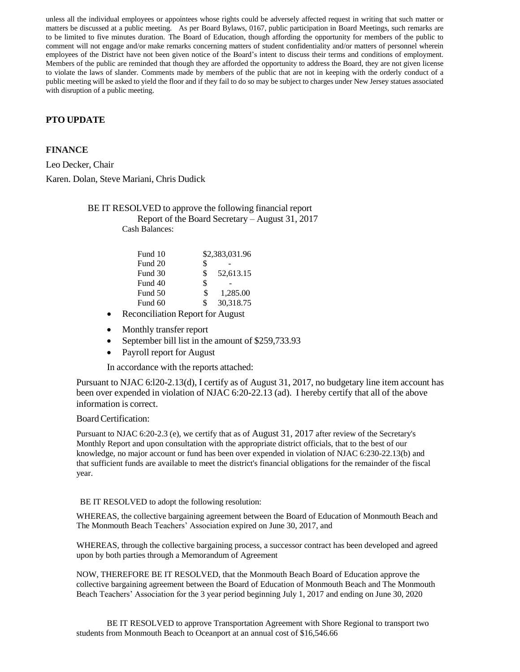unless all the individual employees or appointees whose rights could be adversely affected request in writing that such matter or matters be discussed at a public meeting. As per Board Bylaws, 0167, public participation in Board Meetings, such remarks are to be limited to five minutes duration. The Board of Education, though affording the opportunity for members of the public to comment will not engage and/or make remarks concerning matters of student confidentiality and/or matters of personnel wherein employees of the District have not been given notice of the Board's intent to discuss their terms and conditions of employment. Members of the public are reminded that though they are afforded the opportunity to address the Board, they are not given license to violate the laws of slander. Comments made by members of the public that are not in keeping with the orderly conduct of a public meeting will be asked to yield the floor and if they fail to do so may be subject to charges under New Jersey statues associated with disruption of a public meeting.

# **PTO UPDATE**

# **FINANCE**

Leo Decker, Chair Karen. Dolan, Steve Mariani, Chris Dudick

> BE IT RESOLVED to approve the following financial report Report of the Board Secretary – August 31, 2017 Cash Balances:

| Fund 10 |    | \$2,383,031.96 |
|---------|----|----------------|
| Fund 20 | \$ |                |
| Fund 30 | \$ | 52,613.15      |
| Fund 40 | \$ |                |
| Fund 50 | S  | 1,285.00       |
| Fund 60 | \$ | 30,318.75      |

- Reconciliation Report for August
- Monthly transfer report
- September bill list in the amount of \$259,733.93
- Payroll report for August

In accordance with the reports attached:

Pursuant to NJAC 6:l20-2.13(d), I certify as of August 31, 2017, no budgetary line item account has been over expended in violation of NJAC 6:20-22.13 (ad). I hereby certify that all of the above information is correct.

#### Board Certification:

Pursuant to NJAC 6:20-2.3 (e), we certify that as of August 31, 2017 after review of the Secretary's Monthly Report and upon consultation with the appropriate district officials, that to the best of our knowledge, no major account or fund has been over expended in violation of NJAC 6:230-22.13(b) and that sufficient funds are available to meet the district's financial obligations for the remainder of the fiscal year.

#### BE IT RESOLVED to adopt the following resolution:

WHEREAS, the collective bargaining agreement between the Board of Education of Monmouth Beach and The Monmouth Beach Teachers' Association expired on June 30, 2017, and

WHEREAS, through the collective bargaining process, a successor contract has been developed and agreed upon by both parties through a Memorandum of Agreement

NOW, THEREFORE BE IT RESOLVED, that the Monmouth Beach Board of Education approve the collective bargaining agreement between the Board of Education of Monmouth Beach and The Monmouth Beach Teachers' Association for the 3 year period beginning July 1, 2017 and ending on June 30, 2020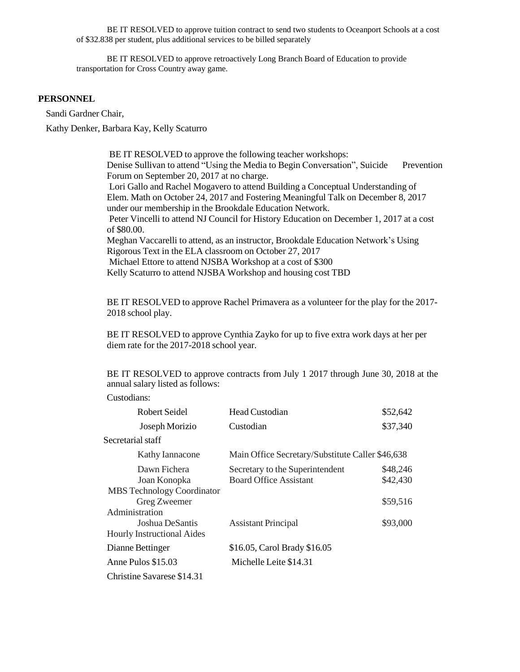BE IT RESOLVED to approve tuition contract to send two students to Oceanport Schools at a cost of \$32.838 per student, plus additional services to be billed separately

BE IT RESOLVED to approve retroactively Long Branch Board of Education to provide transportation for Cross Country away game.

### **PERSONNEL**

Sandi Gardner Chair,

Kathy Denker, Barbara Kay, Kelly Scaturro

BE IT RESOLVED to approve the following teacher workshops: Denise Sullivan to attend "Using the Media to Begin Conversation", Suicide Prevention Forum on September 20, 2017 at no charge. Lori Gallo and Rachel Mogavero to attend Building a Conceptual Understanding of Elem. Math on October 24, 2017 and Fostering Meaningful Talk on December 8, 2017 under our membership in the Brookdale Education Network. Peter Vincelli to attend NJ Council for History Education on December 1, 2017 at a cost of \$80.00. Meghan Vaccarelli to attend, as an instructor, Brookdale Education Network's Using Rigorous Text in the ELA classroom on October 27, 2017 Michael Ettore to attend NJSBA Workshop at a cost of \$300 Kelly Scaturro to attend NJSBA Workshop and housing cost TBD

BE IT RESOLVED to approve Rachel Primavera as a volunteer for the play for the 2017- 2018 school play.

BE IT RESOLVED to approve Cynthia Zayko for up to five extra work days at her per diem rate for the 2017-2018 school year.

BE IT RESOLVED to approve contracts from July 1 2017 through June 30, 2018 at the annual salary listed as follows:

Custodians:

| Robert Seidel                     | Head Custodian                                   | \$52,642 |
|-----------------------------------|--------------------------------------------------|----------|
| Joseph Morizio                    | Custodian                                        | \$37,340 |
| Secretarial staff                 |                                                  |          |
| Kathy Iannacone                   | Main Office Secretary/Substitute Caller \$46,638 |          |
| Dawn Fichera                      | Secretary to the Superintendent                  | \$48,246 |
| Joan Konopka                      | <b>Board Office Assistant</b>                    | \$42,430 |
| <b>MBS</b> Technology Coordinator |                                                  |          |
| Greg Zweemer                      |                                                  | \$59,516 |
| Administration                    |                                                  |          |
| Joshua DeSantis                   | <b>Assistant Principal</b>                       | \$93,000 |
| <b>Hourly Instructional Aides</b> |                                                  |          |
| Dianne Bettinger                  | \$16.05, Carol Brady \$16.05                     |          |
| Anne Pulos \$15.03                | Michelle Leite \$14.31                           |          |
| Christine Savarese \$14.31        |                                                  |          |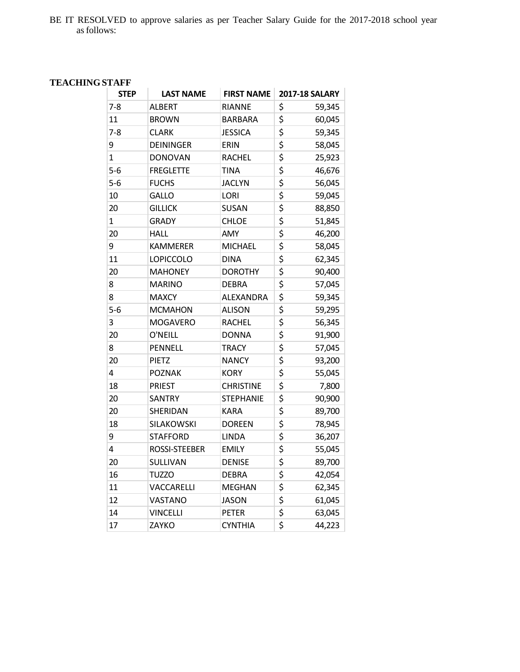BE IT RESOLVED to approve salaries as per Teacher Salary Guide for the 2017-2018 school year asfollows:

# **TEACHINGSTAFF**

| <b>STEP</b>    | <b>LAST NAME</b>     | <b>FIRST NAME</b> | <b>2017-18 SALARY</b>               |        |
|----------------|----------------------|-------------------|-------------------------------------|--------|
| $7 - 8$        | <b>ALBERT</b>        | <b>RIANNE</b>     | \$                                  | 59,345 |
| 11             | <b>BROWN</b>         | BARBARA           | \$                                  | 60,045 |
| $7 - 8$        | <b>CLARK</b>         | <b>JESSICA</b>    | \$                                  | 59,345 |
| 9              | DEININGER            | ERIN              | \$                                  | 58,045 |
| $\overline{1}$ | <b>DONOVAN</b>       | <b>RACHEL</b>     | \$                                  | 25,923 |
| $5-6$          | <b>FREGLETTE</b>     | <b>TINA</b>       | $\overline{\boldsymbol{\varsigma}}$ | 46,676 |
| $5-6$          | <b>FUCHS</b>         | <b>JACLYN</b>     | \$                                  | 56,045 |
| 10             | <b>GALLO</b>         | <b>LORI</b>       | \$                                  | 59,045 |
| 20             | <b>GILLICK</b>       | <b>SUSAN</b>      | \$                                  | 88,850 |
| $\mathbf{1}$   | <b>GRADY</b>         | <b>CHLOE</b>      | \$                                  | 51,845 |
| 20             | HALL                 | AMY               | \$                                  | 46,200 |
| 9              | <b>KAMMERER</b>      | <b>MICHAEL</b>    | \$                                  | 58,045 |
| 11             | <b>LOPICCOLO</b>     | <b>DINA</b>       | \$                                  | 62,345 |
| 20             | MAHONEY              | <b>DOROTHY</b>    | \$                                  | 90,400 |
| 8              | <b>MARINO</b>        | <b>DEBRA</b>      | \$                                  | 57,045 |
| 8              | <b>MAXCY</b>         | <b>ALEXANDRA</b>  | \$                                  | 59,345 |
| $5-6$          | <b>MCMAHON</b>       | <b>ALISON</b>     | \$                                  | 59,295 |
| 3              | <b>MOGAVERO</b>      | <b>RACHEL</b>     | \$                                  | 56,345 |
| 20             | O'NEILL              | <b>DONNA</b>      | \$                                  | 91,900 |
| 8              | PENNELL              | <b>TRACY</b>      | \$                                  | 57,045 |
| 20             | PIETZ                | <b>NANCY</b>      | \$                                  | 93,200 |
| 4              | <b>POZNAK</b>        | <b>KORY</b>       | \$                                  | 55,045 |
| 18             | <b>PRIEST</b>        | <b>CHRISTINE</b>  | \$                                  | 7,800  |
| 20             | <b>SANTRY</b>        | <b>STEPHANIE</b>  | \$                                  | 90,900 |
| 20             | SHERIDAN             | <b>KARA</b>       | \$                                  | 89,700 |
| 18             | SILAKOWSKI           | <b>DOREEN</b>     | \$                                  | 78,945 |
| 9              | STAFFORD             | <b>LINDA</b>      | \$                                  | 36,207 |
| 4              | <b>ROSSI-STEEBER</b> | <b>EMILY</b>      | \$                                  | 55,045 |
| 20             | SULLIVAN             | <b>DENISE</b>     | \$                                  | 89,700 |
| 16             | <b>TUZZO</b>         | <b>DEBRA</b>      | \$                                  | 42,054 |
| 11             | VACCARELLI           | <b>MEGHAN</b>     | \$                                  | 62,345 |
| 12             | VASTANO              | <b>JASON</b>      | \$                                  | 61,045 |
| 14             | <b>VINCELLI</b>      | <b>PETER</b>      | \$                                  | 63,045 |
| 17             | ZAYKO                | <b>CYNTHIA</b>    | $\overline{\boldsymbol{\zeta}}$     | 44,223 |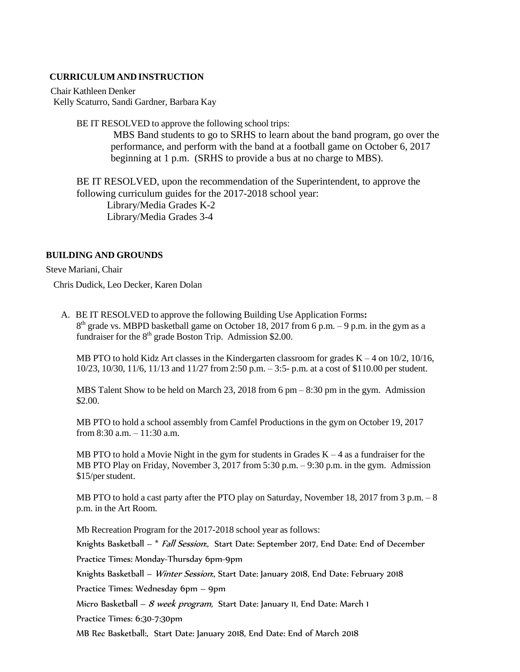# **CURRICULUM AND INSTRUCTION**

Chair Kathleen Denker Kelly Scaturro, Sandi Gardner, Barbara Kay

BE IT RESOLVED to approve the following school trips:

MBS Band students to go to SRHS to learn about the band program, go over the performance, and perform with the band at a football game on October 6, 2017 beginning at 1 p.m. (SRHS to provide a bus at no charge to MBS).

BE IT RESOLVED, upon the recommendation of the Superintendent, to approve the following curriculum guides for the 2017-2018 school year: Library/Media Grades K-2 Library/Media Grades 3-4

# **BUILDING AND GROUNDS**

Steve Mariani, Chair

Chris Dudick, Leo Decker, Karen Dolan

A. BE IT RESOLVED to approve the following Building Use Application Forms**:**  $8<sup>th</sup>$  grade vs. MBPD basketball game on October 18, 2017 from 6 p.m. – 9 p.m. in the gym as a fundraiser for the  $8<sup>th</sup>$  grade Boston Trip. Admission \$2.00.

MB PTO to hold Kidz Art classes in the Kindergarten classroom for grades  $K - 4$  on  $10/2$ ,  $10/16$ , 10/23, 10/30, 11/6, 11/13 and 11/27 from 2:50 p.m. – 3:5- p.m. at a cost of \$110.00 per student.

MBS Talent Show to be held on March 23, 2018 from 6 pm – 8:30 pm in the gym. Admission \$2.00.

MB PTO to hold a school assembly from Camfel Productions in the gym on October 19, 2017 from 8:30 a.m. – 11:30 a.m.

MB PTO to hold a Movie Night in the gym for students in Grades  $K - 4$  as a fundraiser for the MB PTO Play on Friday, November 3, 2017 from 5:30 p.m. – 9:30 p.m. in the gym. Admission \$15/perstudent.

MB PTO to hold a cast party after the PTO play on Saturday, November 18, 2017 from 3 p.m. – 8 p.m. in the Art Room.

Mb Recreation Program for the 2017-2018 school year as follows:

Knights Basketball – \* *Fall Session*:, Start Date: September 2017, End Date: End of December

Practice Times: Monday-Thursday 6pm-9pm

Knights Basketball – Winter Session:, Start Date: January 2018, End Date: February 2018

Practice Times: Wednesday 6pm – 9pm

Micro Basketball – 8 week program, Start Date: January 11, End Date: March 1

Practice Times: 6:30-7:30pm

MB Rec Basketball:, Start Date: January 2018, End Date: End of March 2018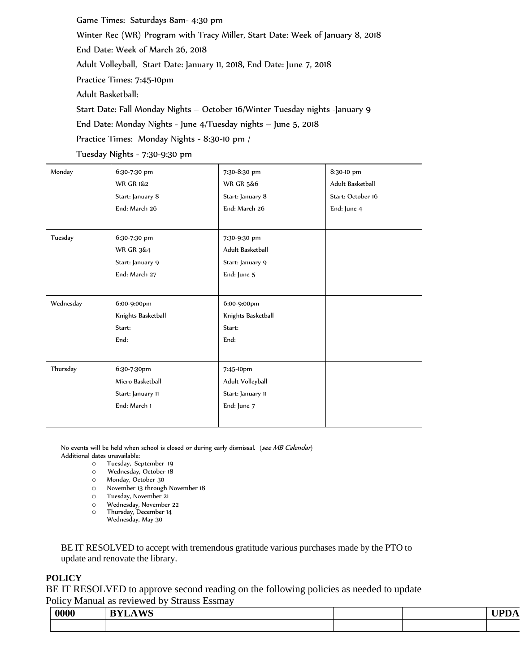Game Times: Saturdays 8am- 4:30 pm Winter Rec (WR) Program with Tracy Miller, Start Date: Week of January 8, 2018 End Date: Week of March 26, 2018 Adult Volleyball, Start Date: January 11, 2018, End Date: June 7, 2018 Practice Times: 7:45-10pm Adult Basketball: Start Date: Fall Monday Nights – October 16/Winter Tuesday nights -January 9 End Date: Monday Nights - June 4/Tuesday nights – June 5, 2018 Practice Times: Monday Nights - 8:30-10 pm /

Tuesday Nights - 7:30-9:30 pm

| Monday    | 6:30-7:30 pm         | 7:30-8:30 pm         | 8:30-10 pm        |
|-----------|----------------------|----------------------|-------------------|
|           | <b>WR GR 1&amp;2</b> | <b>WR GR 5&amp;6</b> | Adult Basketball  |
|           | Start: January 8     | Start: January 8     | Start: October 16 |
|           | End: March 26        | End: March 26        | End: June 4       |
|           |                      |                      |                   |
| Tuesday   | 6:30-7:30 pm         | 7:30-9:30 pm         |                   |
|           | <b>WR GR 3&amp;4</b> | Adult Basketball     |                   |
|           | Start: January 9     | Start: January 9     |                   |
|           | End: March 27        | End: June 5          |                   |
|           |                      |                      |                   |
| Wednesday | 6:00-9:00pm          | 6:00-9:00pm          |                   |
|           | Knights Basketball   | Knights Basketball   |                   |
|           | Start:               | Start:               |                   |
|           | End:                 | End:                 |                   |
|           |                      |                      |                   |
| Thursday  | 6:30-7:30pm          | 7:45-10pm            |                   |
|           | Micro Basketball     | Adult Volleyball     |                   |
|           | Start: January 11    | Start: January 11    |                   |
|           | End: March 1         | End: June 7          |                   |
|           |                      |                      |                   |
|           |                      |                      |                   |

No events will be held when school is closed or during early dismissal. (see MB Calendar) Additional dates unavailable:

- o Tuesday, September 19
- o Wednesday, October 18
- o Monday, October 30
- o November 13 through November 18
- o Tuesday, November 21
- o Wednesday, November 22
- o Thursday, December 14 Wednesday, May 30

BE IT RESOLVED to accept with tremendous gratitude various purchases made by the PTO to update and renovate the library.

### **POLICY**

BE IT RESOLVED to approve second reading on the following policies as needed to update Policy Manual as reviewed by Strauss Essmay

| 0000 | TT70<br>---<br>-- |  |  |
|------|-------------------|--|--|
|      |                   |  |  |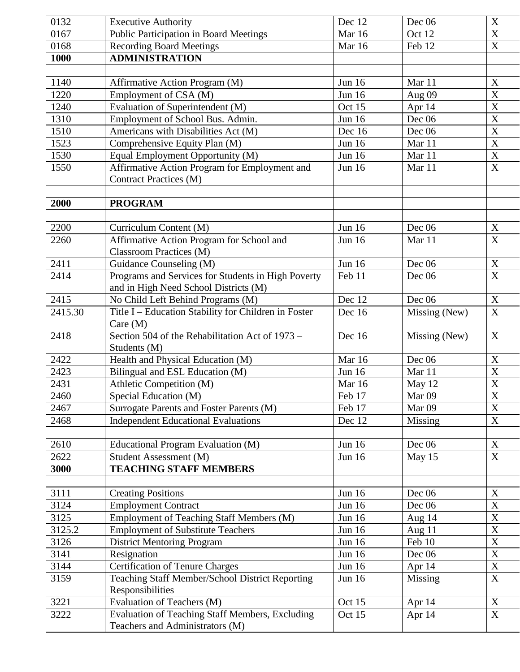| 0132    | <b>Executive Authority</b>                                                                  | Dec 12        | Dec 06        | X                         |
|---------|---------------------------------------------------------------------------------------------|---------------|---------------|---------------------------|
| 0167    | <b>Public Participation in Board Meetings</b>                                               | Mar 16        | Oct 12        | $\overline{\mathrm{X}}$   |
| 0168    | <b>Recording Board Meetings</b>                                                             | Mar 16        | Feb 12        | $\mathbf X$               |
| 1000    | <b>ADMINISTRATION</b>                                                                       |               |               |                           |
|         |                                                                                             |               |               |                           |
| 1140    | Affirmative Action Program (M)                                                              | Jun 16        | Mar 11        | X                         |
| 1220    | Employment of CSA (M)                                                                       | <b>Jun 16</b> | Aug 09        | X                         |
| 1240    | Evaluation of Superintendent (M)                                                            | Oct 15        | Apr 14        | $\boldsymbol{\mathrm{X}}$ |
| 1310    | Employment of School Bus. Admin.                                                            | Jun 16        | Dec 06        | $\overline{X}$            |
| 1510    | Americans with Disabilities Act (M)                                                         | Dec 16        | Dec 06        | $\overline{\mathbf{X}}$   |
| 1523    | Comprehensive Equity Plan (M)                                                               | <b>Jun 16</b> | Mar 11        | $\mathbf X$               |
| 1530    | Equal Employment Opportunity (M)                                                            | Jun 16        | Mar 11        | X                         |
| 1550    | Affirmative Action Program for Employment and                                               | <b>Jun 16</b> | Mar 11        | $\boldsymbol{\mathrm{X}}$ |
|         | Contract Practices (M)                                                                      |               |               |                           |
| 2000    | <b>PROGRAM</b>                                                                              |               |               |                           |
|         |                                                                                             |               |               |                           |
| 2200    | Curriculum Content (M)                                                                      | <b>Jun 16</b> | Dec 06        | X                         |
| 2260    | Affirmative Action Program for School and<br><b>Classroom Practices (M)</b>                 | <b>Jun 16</b> | Mar 11        | X                         |
| 2411    | Guidance Counseling (M)                                                                     | <b>Jun 16</b> | Dec 06        | X                         |
| 2414    | Programs and Services for Students in High Poverty<br>and in High Need School Districts (M) | Feb 11        | Dec 06        | $\overline{\mathbf{X}}$   |
| 2415    | No Child Left Behind Programs (M)                                                           | Dec 12        | Dec 06        | X                         |
| 2415.30 | Title I – Education Stability for Children in Foster<br>Care $(M)$                          | Dec 16        | Missing (New) | $\overline{X}$            |
| 2418    | Section 504 of the Rehabilitation Act of 1973 –<br>Students (M)                             | Dec 16        | Missing (New) | X                         |
| 2422    | Health and Physical Education (M)                                                           | Mar 16        | Dec $06$      | $\boldsymbol{\mathrm{X}}$ |
| 2423    | Bilingual and ESL Education (M)                                                             | <b>Jun 16</b> | Mar 11        | X                         |
| 2431    | Athletic Competition (M)                                                                    | Mar 16        | May 12        | $\boldsymbol{\mathrm{X}}$ |
| 2460    | Special Education (M)                                                                       | Feb 17        | Mar 09        | $\mathbf X$               |
| 2467    | <b>Surrogate Parents and Foster Parents (M)</b>                                             | Feb 17        | Mar 09        | $\boldsymbol{\mathrm{X}}$ |
| 2468    | <b>Independent Educational Evaluations</b>                                                  | Dec 12        | Missing       | $\mathbf X$               |
|         |                                                                                             |               |               |                           |
| 2610    | Educational Program Evaluation (M)                                                          | Jun $16$      | Dec 06        | $\mathbf X$               |
| 2622    | Student Assessment (M)                                                                      | Jun 16        | May 15        | X                         |
| 3000    | <b>TEACHING STAFF MEMBERS</b>                                                               |               |               |                           |
|         |                                                                                             |               |               |                           |
| 3111    | <b>Creating Positions</b>                                                                   | Jun 16        | Dec 06        | X                         |
| 3124    | <b>Employment Contract</b>                                                                  | Jun 16        | Dec 06        | $\mathbf X$               |
| 3125    | Employment of Teaching Staff Members (M)                                                    | Jun 16        | Aug 14        | $\mathbf X$               |
| 3125.2  | <b>Employment of Substitute Teachers</b>                                                    | Jun 16        | Aug $11$      | $\mathbf X$               |
| 3126    | <b>District Mentoring Program</b>                                                           | Jun 16        | Feb 10        | $\mathbf X$               |
| 3141    | Resignation                                                                                 | Jun 16        | Dec 06        | $\mathbf X$               |
| 3144    | <b>Certification of Tenure Charges</b>                                                      | Jun 16        | Apr $14$      | $\mathbf X$               |
| 3159    | Teaching Staff Member/School District Reporting<br>Responsibilities                         | Jun 16        | Missing       | $\mathbf X$               |
| 3221    | Evaluation of Teachers (M)                                                                  | Oct 15        | Apr 14        | $\mathbf X$               |
| 3222    | Evaluation of Teaching Staff Members, Excluding                                             | Oct 15        | Apr 14        | $\mathbf X$               |
|         | Teachers and Administrators (M)                                                             |               |               |                           |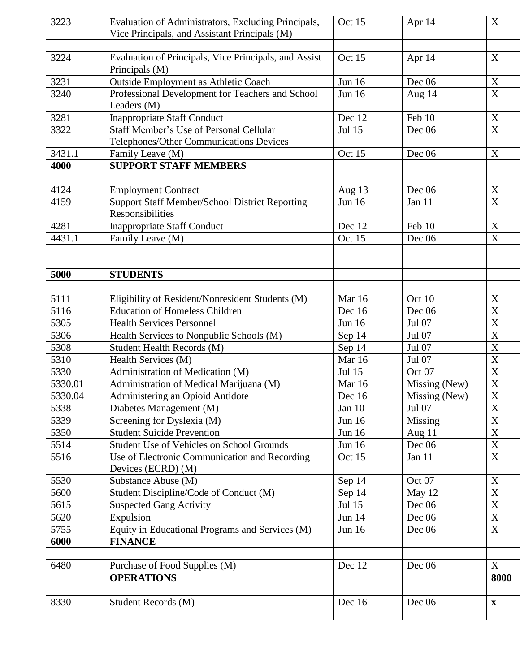| 3223    | Evaluation of Administrators, Excluding Principals,                     | Oct 15        | Apr 14        | $\mathbf X$               |
|---------|-------------------------------------------------------------------------|---------------|---------------|---------------------------|
|         | Vice Principals, and Assistant Principals (M)                           |               |               |                           |
|         |                                                                         |               |               |                           |
| 3224    | Evaluation of Principals, Vice Principals, and Assist<br>Principals (M) | Oct 15        | Apr 14        | X                         |
| 3231    | <b>Outside Employment as Athletic Coach</b>                             | <b>Jun 16</b> | Dec $06$      | X                         |
| 3240    | Professional Development for Teachers and School<br>Leaders (M)         | <b>Jun 16</b> | Aug $14$      | $\boldsymbol{X}$          |
| 3281    | <b>Inappropriate Staff Conduct</b>                                      | Dec 12        | Feb 10        | X                         |
| 3322    | Staff Member's Use of Personal Cellular                                 | <b>Jul 15</b> | Dec $06$      | X                         |
|         | Telephones/Other Communications Devices                                 |               |               |                           |
| 3431.1  | Family Leave (M)                                                        | Oct 15        | Dec $06$      | X                         |
| 4000    | <b>SUPPORT STAFF MEMBERS</b>                                            |               |               |                           |
| 4124    | <b>Employment Contract</b>                                              | Aug 13        | Dec $06$      | X                         |
| 4159    | <b>Support Staff Member/School District Reporting</b>                   | <b>Jun 16</b> | Jan 11        | X                         |
|         | Responsibilities                                                        |               |               |                           |
| 4281    | <b>Inappropriate Staff Conduct</b>                                      | Dec 12        | Feb 10        | X                         |
| 4431.1  | Family Leave (M)                                                        | Oct 15        | Dec 06        | X                         |
|         |                                                                         |               |               |                           |
| 5000    | <b>STUDENTS</b>                                                         |               |               |                           |
|         |                                                                         |               |               |                           |
| 5111    | Eligibility of Resident/Nonresident Students (M)                        | Mar 16        | Oct 10        | X                         |
| 5116    | <b>Education of Homeless Children</b>                                   | Dec 16        | Dec $06$      | $\boldsymbol{\mathrm{X}}$ |
| 5305    | <b>Health Services Personnel</b>                                        | <b>Jun 16</b> | Jul 07        | X                         |
| 5306    | Health Services to Nonpublic Schools (M)                                | Sep 14        | Jul 07        | $\overline{\text{X}}$     |
| 5308    | Student Health Records (M)                                              | Sep 14        | Jul 07        | X                         |
| 5310    | Health Services (M)                                                     | Mar 16        | Jul 07        | X                         |
| 5330    | Administration of Medication (M)                                        | <b>Jul 15</b> | Oct 07        | X                         |
| 5330.01 | Administration of Medical Marijuana (M)                                 | Mar 16        | Missing (New) | $\boldsymbol{\mathrm{X}}$ |
| 5330.04 | Administering an Opioid Antidote                                        | Dec 16        | Missing (New) | X                         |
| 5338    | Diabetes Management (M)                                                 | Jan $10$      | Jul 07        | X                         |
| 5339    | Screening for Dyslexia (M)                                              | <b>Jun 16</b> | Missing       | X                         |
| 5350    | <b>Student Suicide Prevention</b>                                       | <b>Jun 16</b> | Aug $11$      | X                         |
| 5514    | Student Use of Vehicles on School Grounds                               | Jun 16        | Dec 06        | X                         |
| 5516    | Use of Electronic Communication and Recording<br>Devices (ECRD) (M)     | Oct 15        | Jan 11        | X                         |
| 5530    | Substance Abuse (M)                                                     | Sep 14        | Oct 07        | X                         |
| 5600    | Student Discipline/Code of Conduct (M)                                  | Sep 14        | May 12        | $\boldsymbol{X}$          |
| 5615    | <b>Suspected Gang Activity</b>                                          | Jul 15        | Dec $06$      | X                         |
| 5620    | Expulsion                                                               | Jun 14        | Dec 06        | X                         |
| 5755    | Equity in Educational Programs and Services (M)                         | <b>Jun 16</b> | Dec $06$      | $\mathbf X$               |
| 6000    | <b>FINANCE</b>                                                          |               |               |                           |
| 6480    | Purchase of Food Supplies (M)                                           | Dec 12        | Dec 06        | X                         |
|         | <b>OPERATIONS</b>                                                       |               |               | 8000                      |
|         |                                                                         |               |               |                           |
| 8330    | Student Records (M)                                                     | Dec 16        | Dec $06$      | $\mathbf X$               |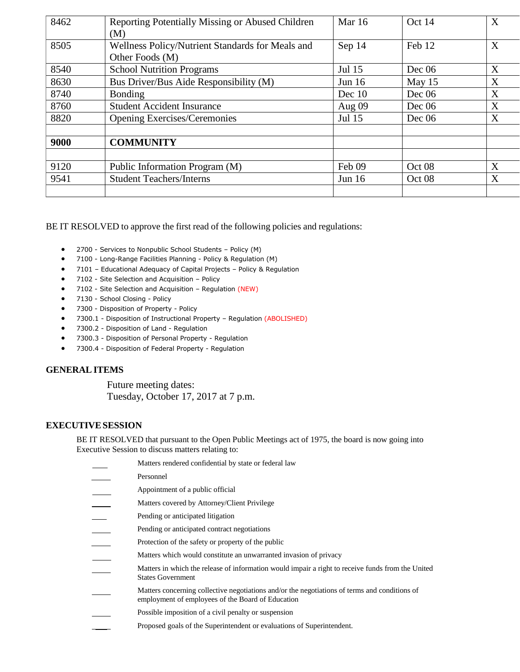| 8462 | Reporting Potentially Missing or Abused Children | <b>Mar</b> 16 | Oct 14   | X |
|------|--------------------------------------------------|---------------|----------|---|
|      | (M)                                              |               |          |   |
| 8505 | Wellness Policy/Nutrient Standards for Meals and | Sep 14        | Feb 12   | X |
|      | Other Foods (M)                                  |               |          |   |
| 8540 | <b>School Nutrition Programs</b>                 | Jul 15        | Dec 06   | X |
| 8630 | Bus Driver/Bus Aide Responsibility (M)           | Jun $16$      | May $15$ | X |
| 8740 | <b>Bonding</b>                                   | Dec 10        | Dec 06   | X |
| 8760 | <b>Student Accident Insurance</b>                | Aug 09        | Dec 06   | X |
| 8820 | <b>Opening Exercises/Ceremonies</b>              | Jul 15        | Dec 06   | X |
|      |                                                  |               |          |   |
| 9000 | <b>COMMUNITY</b>                                 |               |          |   |
|      |                                                  |               |          |   |
| 9120 | Public Information Program (M)                   | Feb 09        | Oct 08   | X |
| 9541 | <b>Student Teachers/Interns</b>                  | Jun $16$      | Oct 08   | X |
|      |                                                  |               |          |   |

BE IT RESOLVED to approve the first read of the following policies and regulations:

- 2700 Services to Nonpublic School Students Policy (M)
- 7100 Long-Range Facilities Planning Policy & Regulation (M)
- 7101 Educational Adequacy of Capital Projects Policy & Regulation
- 7102 Site Selection and Acquisition Policy
- 7102 Site Selection and Acquisition Regulation (NEW)
- 7130 School Closing Policy
- 7300 Disposition of Property Policy
- 7300.1 Disposition of Instructional Property Regulation (ABOLISHED)
- 7300.2 Disposition of Land Regulation
- 7300.3 Disposition of Personal Property Regulation
- 7300.4 Disposition of Federal Property Regulation

# **GENERAL ITEMS**

Future meeting dates: Tuesday, October 17, 2017 at 7 p.m.

# **EXECUTIVESESSION**

BE IT RESOLVED that pursuant to the Open Public Meetings act of 1975, the board is now going into Executive Session to discuss matters relating to:

| Matters rendered confidential by state or federal law                                                                                              |
|----------------------------------------------------------------------------------------------------------------------------------------------------|
| Personnel                                                                                                                                          |
| Appointment of a public official                                                                                                                   |
| Matters covered by Attorney/Client Privilege                                                                                                       |
| Pending or anticipated litigation                                                                                                                  |
| Pending or anticipated contract negotiations                                                                                                       |
| Protection of the safety or property of the public                                                                                                 |
| Matters which would constitute an unwarranted invasion of privacy                                                                                  |
| Matters in which the release of information would impair a right to receive funds from the United<br><b>States Government</b>                      |
| Matters concerning collective negotiations and/or the negotiations of terms and conditions of<br>employment of employees of the Board of Education |
| Possible imposition of a civil penalty or suspension                                                                                               |
| Proposed goals of the Superintendent or evaluations of Superintendent.                                                                             |
|                                                                                                                                                    |